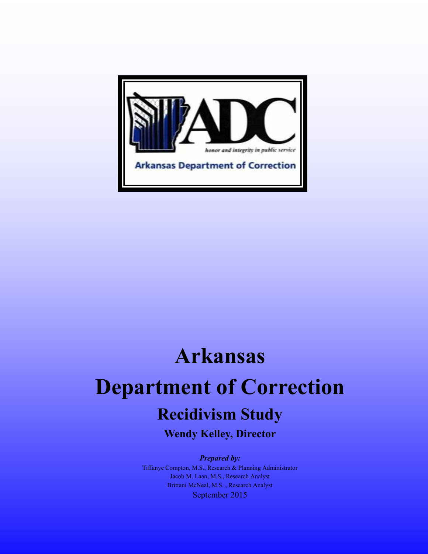

# **Arkansas Department of Correction Recidivism Study**

**Wendy Kelley, Director**

*Prepared by:*

Tiffanye Compton, M.S., Research & Planning Administrator Jacob M. Laan, M.S., Research Analyst Brittani McNeal, M.S. , Research Analyst September 2015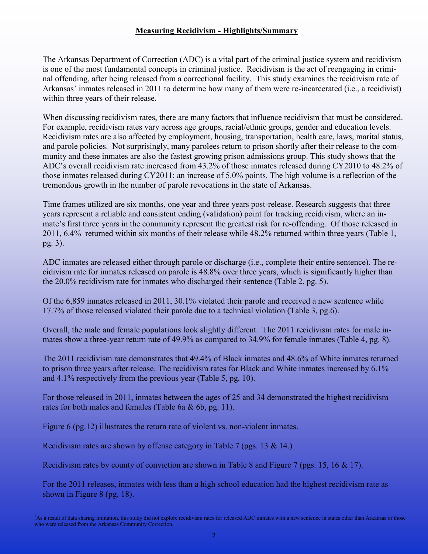## **Measuring Recidivism - Highlights/Summary**

The Arkansas Department of Correction (ADC) is a vital part of the criminal justice system and recidivism is one of the most fundamental concepts in criminal justice. Recidivism is the act of reengaging in criminal offending, after being released from a correctional facility. This study examines the recidivism rate of Arkansas' inmates released in 2011 to determine how many of them were re-incarcerated (i.e., a recidivist) within three years of their release. $<sup>1</sup>$ </sup>

When discussing recidivism rates, there are many factors that influence recidivism that must be considered. For example, recidivism rates vary across age groups, racial/ethnic groups, gender and education levels. Recidivism rates are also affected by employment, housing, transportation, health care, laws, marital status, and parole policies. Not surprisingly, many parolees return to prison shortly after their release to the community and these inmates are also the fastest growing prison admissions group. This study shows that the ADC's overall recidivism rate increased from 43.2% of those inmates released during CY2010 to 48.2% of those inmates released during CY2011; an increase of 5.0% points. The high volume is a reflection of the tremendous growth in the number of parole revocations in the state of Arkansas.

Time frames utilized are six months, one year and three years post-release. Research suggests that three years represent a reliable and consistent ending (validation) point for tracking recidivism, where an inmate's first three years in the community represent the greatest risk for re-offending. Of those released in 2011, 6.4% returned within six months of their release while 48.2% returned within three years (Table 1, pg. 3).

ADC inmates are released either through parole or discharge (i.e., complete their entire sentence). The recidivism rate for inmates released on parole is 48.8% over three years, which is significantly higher than the 20.0% recidivism rate for inmates who discharged their sentence (Table 2, pg. 5).

Of the 6,859 inmates released in 2011, 30.1% violated their parole and received a new sentence while 17.7% of those released violated their parole due to a technical violation (Table 3, pg.6).

Overall, the male and female populations look slightly different. The 2011 recidivism rates for male inmates show a three-year return rate of 49.9% as compared to 34.9% for female inmates (Table 4, pg. 8).

The 2011 recidivism rate demonstrates that 49.4% of Black inmates and 48.6% of White inmates returned to prison three years after release. The recidivism rates for Black and White inmates increased by 6.1% and 4.1% respectively from the previous year (Table 5, pg. 10).

For those released in 2011, inmates between the ages of 25 and 34 demonstrated the highest recidivism rates for both males and females (Table 6a & 6b, pg. 11).

Figure 6 (pg.12) illustrates the return rate of violent vs. non-violent inmates.

Recidivism rates are shown by offense category in Table 7 (pgs. 13 & 14.)

Recidivism rates by county of conviction are shown in Table 8 and Figure 7 (pgs. 15, 16 & 17).

For the 2011 releases, inmates with less than a high school education had the highest recidivism rate as shown in Figure 8 (pg. 18).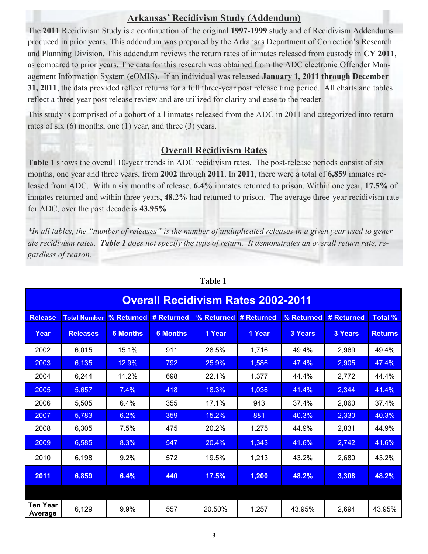# **Arkansas' Recidivism Study (Addendum)**

The **2011** Recidivism Study is a continuation of the original **1997-1999** study and of Recidivism Addendums produced in prior years. This addendum was prepared by the Arkansas Department of Correction's Research and Planning Division. This addendum reviews the return rates of inmates released from custody in **CY 2011**, as compared to prior years. The data for this research was obtained from the ADC electronic Offender Management Information System (eOMIS). If an individual was released **January 1, 2011 through December 31, 2011**, the data provided reflect returns for a full three-year post release time period. All charts and tables reflect a three-year post release review and are utilized for clarity and ease to the reader.

This study is comprised of a cohort of all inmates released from the ADC in 2011 and categorized into return rates of six (6) months, one (1) year, and three (3) years.

# **Overall Recidivism Rates**

**Table 1** shows the overall 10-year trends in ADC recidivism rates. The post-release periods consist of six months, one year and three years, from **2002** through **2011**. In **2011**, there were a total of **6,859** inmates released from ADC. Within six months of release, **6.4%** inmates returned to prison. Within one year, **17.5%** of inmates returned and within three years, **48.2%** had returned to prison. The average three-year recidivism rate for ADC, over the past decade is **43.95%**.

*\*In all tables, the "number of releases" is the number of unduplicated releases in a given year used to generate recidivism rates. Table 1 does not specify the type of return. It demonstrates an overall return rate, regardless of reason.*

| <b>Overall Recidivism Rates 2002-2011</b> |                                                                                                                     |                 |                 |        |        |                |         |                |  |
|-------------------------------------------|---------------------------------------------------------------------------------------------------------------------|-----------------|-----------------|--------|--------|----------------|---------|----------------|--|
| <b>Release</b>                            | % Returned # Returned<br>% Returned # Returned<br>% Returned<br># Returned<br><b>Total %</b><br><b>Total Number</b> |                 |                 |        |        |                |         |                |  |
| Year                                      | <b>Releases</b>                                                                                                     | <b>6 Months</b> | <b>6 Months</b> | 1 Year | 1 Year | <b>3 Years</b> | 3 Years | <b>Returns</b> |  |
| 2002                                      | 6,015                                                                                                               | 15.1%           | 911             | 28.5%  | 1,716  | 49.4%          | 2,969   | 49.4%          |  |
| 2003                                      | 6,135                                                                                                               | 12.9%           | 792             | 25.9%  | 1,586  | 47.4%          | 2,905   | 47.4%          |  |
| 2004                                      | 6,244                                                                                                               | 11.2%           | 698             | 22.1%  | 1,377  | 44.4%          | 2,772   | 44.4%          |  |
| 2005                                      | 5,657                                                                                                               | 7.4%            | 418             | 18.3%  | 1,036  | 41.4%          | 2,344   | 41.4%          |  |
| 2006                                      | 5,505                                                                                                               | 6.4%            | 355             | 17.1%  | 943    | 37.4%          | 2,060   | 37.4%          |  |
| 2007                                      | 5,783                                                                                                               | 6.2%            | 359             | 15.2%  | 881    | 40.3%          | 2,330   | 40.3%          |  |
| 2008                                      | 6,305                                                                                                               | 7.5%            | 475             | 20.2%  | 1,275  | 44.9%          | 2,831   | 44.9%          |  |
| 2009                                      | 6,585                                                                                                               | 8.3%            | 547             | 20.4%  | 1,343  | 41.6%          | 2,742   | 41.6%          |  |
| 2010                                      | 6,198                                                                                                               | 9.2%            | 572             | 19.5%  | 1,213  | 43.2%          | 2,680   | 43.2%          |  |
| 2011                                      | 6,859                                                                                                               | 6.4%            | 440             | 17.5%  | 1,200  | 48.2%          | 3,308   | 48.2%          |  |
|                                           |                                                                                                                     |                 |                 |        |        |                |         |                |  |
| <b>Ten Year</b><br>Average                | 6,129                                                                                                               | 9.9%            | 557             | 20.50% | 1,257  | 43.95%         | 2,694   | 43.95%         |  |

**Table 1**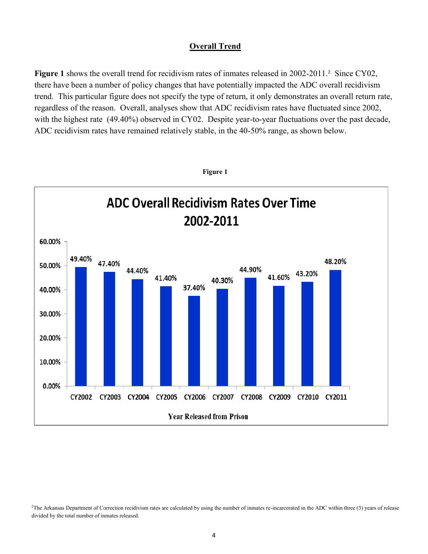## **Overall Trend**

**Figure 1** shows the overall trend for recidivism rates of inmates released in 2002-2011.² Since CY02, there have been a number of policy changes that have potentially impacted the ADC overall recidivism trend. This particular figure does not specify the type of return, it only demonstrates an overall return rate, regardless of the reason. Overall, analyses show that ADC recidivism rates have fluctuated since 2002, with the highest rate (49.40%) observed in CY02. Despite year-to-year fluctuations over the past decade, ADC recidivism rates have remained relatively stable, in the 40-50% range, as shown below.



**Figure 1**

 ${}^{2}$ The Arkansas Department of Correction recidivism rates are calculated by using the number of inmates re-incarcerated in the ADC within three (3) years of release divided by the total number of inmates released.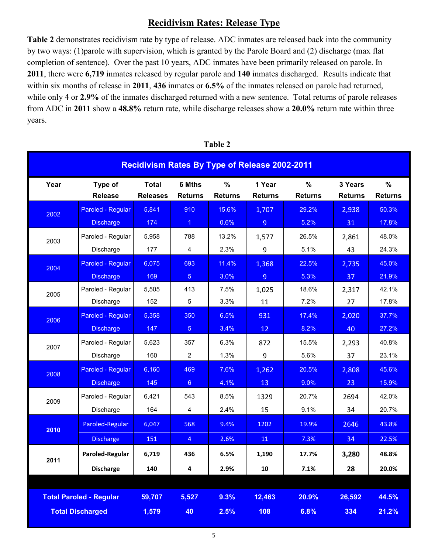# **Recidivism Rates: Release Type**

**Table 2** demonstrates recidivism rate by type of release. ADC inmates are released back into the community by two ways: (1)parole with supervision, which is granted by the Parole Board and (2) discharge (max flat completion of sentence). Over the past 10 years, ADC inmates have been primarily released on parole. In **2011**, there were **6,719** inmates released by regular parole and **140** inmates discharged. Results indicate that within six months of release in **2011**, **436** inmates or **6.5%** of the inmates released on parole had returned, while only 4 or **2.9%** of the inmates discharged returned with a new sentence. Total returns of parole releases from ADC in **2011** show a **48.8%** return rate, while discharge releases show a **20.0%** return rate within three years.

| <b>Recidivism Rates By Type of Release 2002-2011</b> |                   |                 |                      |                |                |                |                |                |
|------------------------------------------------------|-------------------|-----------------|----------------------|----------------|----------------|----------------|----------------|----------------|
| Year                                                 | Type of           | <b>Total</b>    | 6 Mths               | %              | 1 Year         | %              | 3 Years        | %              |
|                                                      | <b>Release</b>    | <b>Releases</b> | <b>Returns</b>       | <b>Returns</b> | <b>Returns</b> | <b>Returns</b> | <b>Returns</b> | <b>Returns</b> |
| 2002                                                 | Paroled - Regular | 5,841           | 910                  | 15.6%          | 1,707          | 29.2%          | 2,938          | 50.3%          |
|                                                      | <b>Discharge</b>  | 174             | $\blacktriangleleft$ | 0.6%           | $\overline{9}$ | 5.2%           | 31             | 17.8%          |
| 2003                                                 | Paroled - Regular | 5,958           | 788                  | 13.2%          | 1,577          | 26.5%          | 2,861          | 48.0%          |
|                                                      | Discharge         | 177             | 4                    | 2.3%           | 9              | 5.1%           | 43             | 24.3%          |
| 2004                                                 | Paroled - Regular | 6,075           | 693                  | 11.4%          | 1,368          | 22.5%          | 2,735          | 45.0%          |
|                                                      | <b>Discharge</b>  | 169             | 5 <sup>5</sup>       | 3.0%           | $\overline{9}$ | 5.3%           | 37             | 21.9%          |
| 2005                                                 | Paroled - Regular | 5,505           | 413                  | 7.5%           | 1,025          | 18.6%          | 2,317          | 42.1%          |
|                                                      | Discharge         | 152             | 5                    | 3.3%           | 11             | 7.2%           | 27             | 17.8%          |
| 2006                                                 | Paroled - Regular | 5,358           | 350                  | 6.5%           | 931            | 17.4%          | 2,020          | 37.7%          |
|                                                      | <b>Discharge</b>  | 147             | 5 <sup>5</sup>       | 3.4%           | 12             | 8.2%           | 40             | 27.2%          |
| 2007                                                 | Paroled - Regular | 5,623           | 357                  | 6.3%           | 872            | 15.5%          | 2,293          | 40.8%          |
|                                                      | Discharge         | 160             | $\overline{2}$       | 1.3%           | 9              | 5.6%           | 37             | 23.1%          |
| 2008                                                 | Paroled - Regular | 6,160           | 469                  | 7.6%           | 1,262          | 20.5%          | 2,808          | 45.6%          |
|                                                      | <b>Discharge</b>  | 145             | 6 <sup>1</sup>       | 4.1%           | 13             | 9.0%           | 23             | 15.9%          |
| 2009                                                 | Paroled - Regular | 6,421           | 543                  | 8.5%           | 1329           | 20.7%          | 2694           | 42.0%          |
|                                                      | Discharge         | 164             | 4                    | 2.4%           | 15             | 9.1%           | 34             | 20.7%          |
| 2010                                                 | Paroled-Regular   | 6,047           | 568                  | 9.4%           | 1202           | 19.9%          | 2646           | 43.8%          |
|                                                      | <b>Discharge</b>  | 151             | $\overline{4}$       | 2.6%           | 11             | 7.3%           | 34             | 22.5%          |
| 2011                                                 | Paroled-Regular   | 6,719           | 436                  | 6.5%           | 1,190          | 17.7%          | 3,280          | 48.8%          |
|                                                      | <b>Discharge</b>  | 140             | 4                    | 2.9%           | 10             | 7.1%           | 28             | 20.0%          |
| <b>Total Paroled - Regular</b>                       |                   | 59,707          | 5,527                | 9.3%           | 12,463         | 20.9%          | 26,592         | 44.5%          |
| <b>Total Discharged</b>                              |                   | 1,579           | 40                   | 2.5%           | 108            | 6.8%           | 334            | 21.2%          |

**Table 2**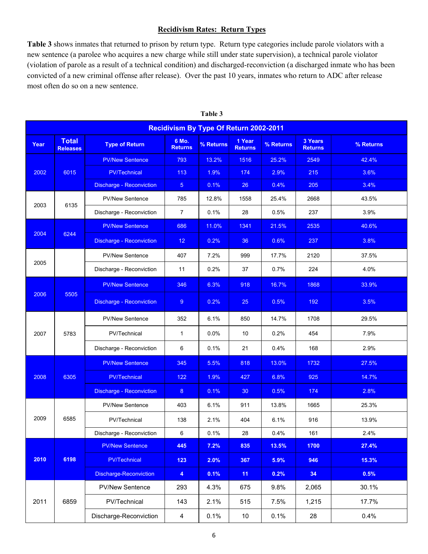#### **Recidivism Rates: Return Types**

**Table 3** shows inmates that returned to prison by return type. Return type categories include parole violators with a new sentence (a parolee who acquires a new charge while still under state supervision), a technical parole violator (violation of parole as a result of a technical condition) and discharged-reconviction (a discharged inmate who has been convicted of a new criminal offense after release). Over the past 10 years, inmates who return to ADC after release most often do so on a new sentence.

|      | <b>Recidivism By Type Of Return 2002-2011</b> |                                 |                         |           |                          |           |                           |           |  |
|------|-----------------------------------------------|---------------------------------|-------------------------|-----------|--------------------------|-----------|---------------------------|-----------|--|
| Year | <b>Total</b><br><b>Releases</b>               | <b>Type of Return</b>           | 6 Mo.<br><b>Returns</b> | % Returns | 1 Year<br><b>Returns</b> | % Returns | 3 Years<br><b>Returns</b> | % Returns |  |
|      |                                               | <b>PV/New Sentence</b>          | 793                     | 13.2%     | 1516                     | 25.2%     | 2549                      | 42.4%     |  |
| 2002 | 6015                                          | <b>PV/Technical</b>             | 113                     | 1.9%      | 174                      | 2.9%      | 215                       | 3.6%      |  |
|      |                                               | <b>Discharge - Reconviction</b> | 5 <sup>5</sup>          | 0.1%      | 26                       | 0.4%      | 205                       | 3.4%      |  |
| 2003 | 6135                                          | <b>PV/New Sentence</b>          | 785                     | 12.8%     | 1558                     | 25.4%     | 2668                      | 43.5%     |  |
|      |                                               | Discharge - Reconviction        | $\overline{7}$          | 0.1%      | 28                       | 0.5%      | 237                       | 3.9%      |  |
|      |                                               | <b>PV/New Sentence</b>          | 686                     | 11.0%     | 1341                     | 21.5%     | 2535                      | 40.6%     |  |
| 2004 | 6244                                          | <b>Discharge - Reconviction</b> | 12 <sub>2</sub>         | 0.2%      | 36                       | 0.6%      | 237                       | 3.8%      |  |
|      |                                               | <b>PV/New Sentence</b>          | 407                     | $7.2\%$   | 999                      | 17.7%     | 2120                      | 37.5%     |  |
| 2005 |                                               | Discharge - Reconviction        | 11                      | 0.2%      | 37                       | 0.7%      | 224                       | 4.0%      |  |
|      |                                               | <b>PV/New Sentence</b>          | 346                     | 6.3%      | 918                      | 16.7%     | 1868                      | 33.9%     |  |
| 2006 | 5505                                          | <b>Discharge - Reconviction</b> | $9^{\circ}$             | 0.2%      | 25                       | 0.5%      | 192                       | 3.5%      |  |
|      |                                               | <b>PV/New Sentence</b>          | 352                     | 6.1%      | 850                      | 14.7%     | 1708                      | 29.5%     |  |
| 2007 | 5783                                          | PV/Technical                    | $\mathbf{1}$            | 0.0%      | 10                       | 0.2%      | 454                       | 7.9%      |  |
|      |                                               | Discharge - Reconviction        | 6                       | 0.1%      | 21                       | 0.4%      | 168                       | 2.9%      |  |
|      |                                               | <b>PV/New Sentence</b>          | 345                     | 5.5%      | 818                      | 13.0%     | 1732                      | 27.5%     |  |
| 2008 | 6305                                          | <b>PV/Technical</b>             | 122                     | 1.9%      | 427                      | 6.8%      | 925                       | 14.7%     |  |
|      |                                               | Discharge - Reconviction        | 8                       | 0.1%      | 30                       | 0.5%      | 174                       | 2.8%      |  |
|      |                                               | <b>PV/New Sentence</b>          | 403                     | 6.1%      | 911                      | 13.8%     | 1665                      | 25.3%     |  |
| 2009 | 6585                                          | PV/Technical                    | 138                     | 2.1%      | 404                      | 6.1%      | 916                       | 13.9%     |  |
|      |                                               | Discharge - Reconviction        | 6                       | 0.1%      | 28                       | 0.4%      | 161                       | 2.4%      |  |
|      |                                               | <b>PV/New Sentence</b>          | 445                     | 7.2%      | 835                      | 13.5%     | 1700                      | 27.4%     |  |
| 2010 | 6198                                          | <b>PV/Technical</b>             | $123$                   | 2.0%      | 367                      | 5.9%      | 946                       | 15.3%     |  |
|      |                                               | <b>Discharge-Reconviction</b>   | $\overline{4}$          | 0.1%      | 11                       | 0.2%      | 34                        | 0.5%      |  |
|      |                                               | PV/New Sentence                 | 293                     | 4.3%      | 675                      | 9.8%      | 2,065                     | 30.1%     |  |
| 2011 | 6859                                          | PV/Technical                    | 143                     | 2.1%      | 515                      | 7.5%      | 1,215                     | 17.7%     |  |
|      |                                               | Discharge-Reconviction          | $\overline{\mathbf{4}}$ | 0.1%      | 10                       | 0.1%      | 28                        | 0.4%      |  |

**Table 3**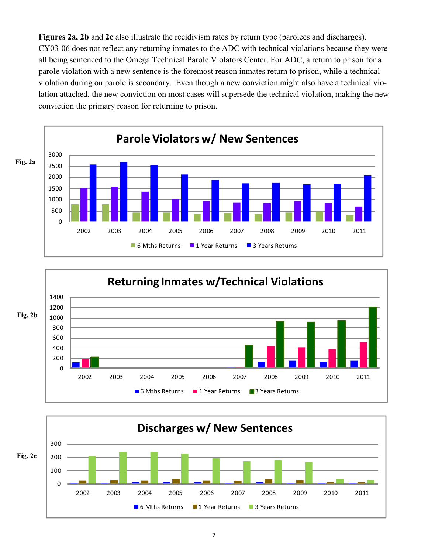**Figures 2a, 2b** and **2c** also illustrate the recidivism rates by return type (parolees and discharges). CY03-06 does not reflect any returning inmates to the ADC with technical violations because they were all being sentenced to the Omega Technical Parole Violators Center. For ADC, a return to prison for a parole violation with a new sentence is the foremost reason inmates return to prison, while a technical violation during on parole is secondary. Even though a new conviction might also have a technical violation attached, the new conviction on most cases will supersede the technical violation, making the new conviction the primary reason for returning to prison.





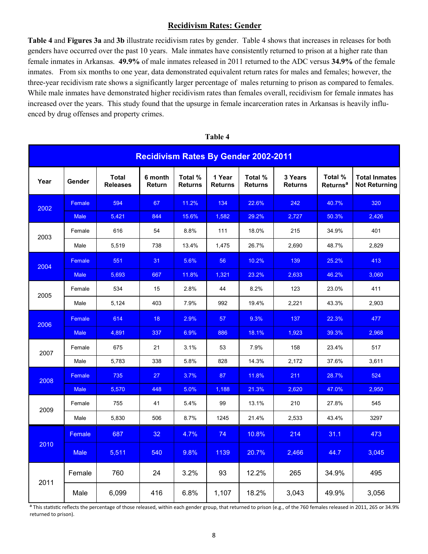## **Recidivism Rates: Gender**

**Table 4** and **Figures 3a** and **3b** illustrate recidivism rates by gender. Table 4 shows that increases in releases for both genders have occurred over the past 10 years. Male inmates have consistently returned to prison at a higher rate than female inmates in Arkansas. **49.9%** of male inmates released in 2011 returned to the ADC versus **34.9%** of the female inmates. From six months to one year, data demonstrated equivalent return rates for males and females; however, the three-year recidivism rate shows a significantly larger percentage of males returning to prison as compared to females. While male inmates have demonstrated higher recidivism rates than females overall, recidivism for female inmates has increased over the years. This study found that the upsurge in female incarceration rates in Arkansas is heavily influenced by drug offenses and property crimes.

|      | <b>Recidivism Rates By Gender 2002-2011</b> |                                 |                   |                           |                          |                           |                           |                                       |                                              |
|------|---------------------------------------------|---------------------------------|-------------------|---------------------------|--------------------------|---------------------------|---------------------------|---------------------------------------|----------------------------------------------|
| Year | Gender                                      | <b>Total</b><br><b>Releases</b> | 6 month<br>Return | Total %<br><b>Returns</b> | 1 Year<br><b>Returns</b> | Total %<br><b>Returns</b> | 3 Years<br><b>Returns</b> | Total %<br><b>Returns<sup>a</sup></b> | <b>Total Inmates</b><br><b>Not Returning</b> |
| 2002 | Female                                      | 594                             | 67                | 11.2%                     | 134                      | 22.6%                     | 242                       | 40.7%                                 | 320                                          |
|      | <b>Male</b>                                 | 5,421                           | 844               | 15.6%                     | 1,582                    | 29.2%                     | 2,727                     | 50.3%                                 | 2,426                                        |
| 2003 | Female                                      | 616                             | 54                | 8.8%                      | 111                      | 18.0%                     | 215                       | 34.9%                                 | 401                                          |
|      | Male                                        | 5,519                           | 738               | 13.4%                     | 1,475                    | 26.7%                     | 2,690                     | 48.7%                                 | 2,829                                        |
| 2004 | Female                                      | 551                             | 31                | 5.6%                      | 56                       | 10.2%                     | 139                       | 25.2%                                 | 413                                          |
|      | <b>Male</b>                                 | 5,693                           | 667               | 11.8%                     | 1,321                    | 23.2%                     | 2,633                     | 46.2%                                 | 3,060                                        |
| 2005 | Female                                      | 534                             | 15                | 2.8%                      | 44                       | 8.2%                      | 123                       | 23.0%                                 | 411                                          |
|      | Male                                        | 5,124                           | 403               | 7.9%                      | 992                      | 19.4%                     | 2,221                     | 43.3%                                 | 2,903                                        |
| 2006 | Female                                      | 614                             | 18                | 2.9%                      | 57                       | 9.3%                      | 137                       | 22.3%                                 | 477                                          |
|      | <b>Male</b>                                 | 4,891                           | 337               | 6.9%                      | 886                      | 18.1%                     | 1,923                     | 39.3%                                 | 2,968                                        |
| 2007 | Female                                      | 675                             | 21                | 3.1%                      | 53                       | 7.9%                      | 158                       | 23.4%                                 | 517                                          |
|      | Male                                        | 5,783                           | 338               | 5.8%                      | 828                      | 14.3%                     | 2,172                     | 37.6%                                 | 3,611                                        |
| 2008 | Female                                      | 735                             | 27                | 3.7%                      | 87                       | 11.8%                     | 211                       | 28.7%                                 | 524                                          |
|      | <b>Male</b>                                 | 5,570                           | 448               | 5.0%                      | 1,188                    | 21.3%                     | 2,620                     | 47.0%                                 | 2,950                                        |
| 2009 | Female                                      | 755                             | 41                | 5.4%                      | 99                       | 13.1%                     | 210                       | 27.8%                                 | 545                                          |
|      | Male                                        | 5,830                           | 506               | 8.7%                      | 1245                     | 21.4%                     | 2,533                     | 43.4%                                 | 3297                                         |
|      | Female                                      | 687                             | 32                | 4.7%                      | 74                       | 10.8%                     | 214                       | 31.1                                  | 473                                          |
| 2010 | <b>Male</b>                                 | 5,511                           | 540               | 9.8%                      | 1139                     | 20.7%                     | 2,466                     | 44.7                                  | 3,045                                        |
| 2011 | Female                                      | 760                             | 24                | 3.2%                      | 93                       | 12.2%                     | 265                       | 34.9%                                 | 495                                          |
|      | Male                                        | 6,099                           | 416               | 6.8%                      | 1,107                    | 18.2%                     | 3,043                     | 49.9%                                 | 3,056                                        |

#### **Table 4**

a This statistic reflects the percentage of those released, within each gender group, that returned to prison (e.g., of the 760 females released in 2011, 265 or 34.9% returned to prison).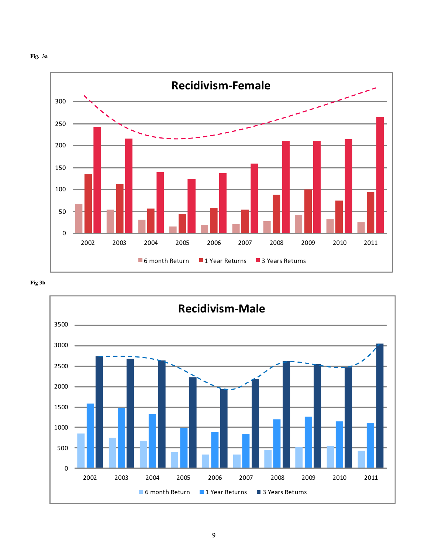



**Fig 3b**

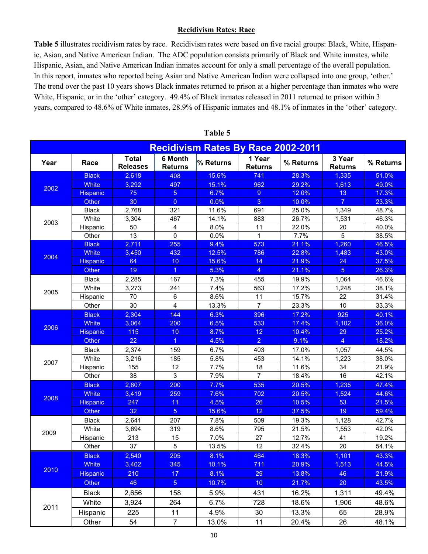#### **Recidivism Rates: Race**

**Table 5** illustrates recidivism rates by race. Recidivism rates were based on five racial groups: Black, White, Hispanic, Asian, and Native American Indian. The ADC population consists primarily of Black and White inmates, while Hispanic, Asian, and Native American Indian inmates account for only a small percentage of the overall population. In this report, inmates who reported being Asian and Native American Indian were collapsed into one group, 'other.' The trend over the past 10 years shows Black inmates returned to prison at a higher percentage than inmates who were White, Hispanic, or in the 'other' category. 49.4% of Black inmates released in 2011 returned to prison within 3 years, compared to 48.6% of White inmates, 28.9% of Hispanic inmates and 48.1% of inmates in the 'other' category.

|      |                 |                                 |                           | <b>Recidivism Rates By Race 2002-2011</b> |                          |           |                          |           |
|------|-----------------|---------------------------------|---------------------------|-------------------------------------------|--------------------------|-----------|--------------------------|-----------|
| Year | Race            | <b>Total</b><br><b>Releases</b> | 6 Month<br><b>Returns</b> | % Returns                                 | 1 Year<br><b>Returns</b> | % Returns | 3 Year<br><b>Returns</b> | % Returns |
|      | <b>Black</b>    | 2,618                           | 408                       | 15.6%                                     | 741                      | 28.3%     | 1,335                    | 51.0%     |
| 2002 | <b>White</b>    | 3,292                           | 497                       | 15.1%                                     | 962                      | 29.2%     | 1,613                    | 49.0%     |
|      | <b>Hispanic</b> | 75                              | $\sqrt{5}$                | 6.7%                                      | $9\,$                    | 12.0%     | 13                       | 17.3%     |
|      | Other           | 30                              | $\overline{0}$            | 0.0%                                      | 3                        | 10.0%     | $\overline{7}$           | 23.3%     |
|      | <b>Black</b>    | 2,768                           | 321                       | 11.6%                                     | 691                      | 25.0%     | 1,349                    | 48.7%     |
| 2003 | White           | 3,304                           | 467                       | 14.1%                                     | 883                      | 26.7%     | 1,531                    | 46.3%     |
|      | Hispanic        | 50                              | 4                         | 8.0%                                      | 11                       | 22.0%     | 20                       | 40.0%     |
|      | Other           | 13                              | 0                         | 0.0%                                      | 1                        | 7.7%      | 5                        | 38.5%     |
|      | <b>Black</b>    | 2,711                           | 255                       | 9.4%                                      | 573                      | 21.1%     | 1,260                    | 46.5%     |
| 2004 | <b>White</b>    | 3,450                           | 432                       | 12.5%                                     | 786                      | 22.8%     | 1,483                    | 43.0%     |
|      | <b>Hispanic</b> | 64                              | 10                        | 15.6%                                     | 14                       | 21.9%     | 24                       | 37.5%     |
|      | Other           | 19                              | $\overline{1}$            | 5.3%                                      | $\overline{4}$           | 21.1%     | 5 <sup>5</sup>           | 26.3%     |
|      | <b>Black</b>    | 2,285                           | 167                       | 7.3%                                      | 455                      | 19.9%     | 1,064                    | 46.6%     |
| 2005 | White           | 3,273                           | 241                       | 7.4%                                      | 563                      | 17.2%     | 1,248                    | 38.1%     |
|      | Hispanic        | 70                              | 6                         | 8.6%                                      | 11                       | 15.7%     | 22                       | 31.4%     |
|      | Other           | 30                              | $\overline{\mathbf{4}}$   | 13.3%                                     | $\overline{7}$           | 23.3%     | 10                       | 33.3%     |
|      | <b>Black</b>    | 2,304                           | 144                       | 6.3%                                      | 396                      | 17.2%     | 925                      | 40.1%     |
| 2006 | <b>White</b>    | 3,064                           | 200                       | 6.5%                                      | 533                      | 17.4%     | 1,102                    | 36.0%     |
|      | <b>Hispanic</b> | 115                             | 10                        | 8.7%                                      | 12                       | 10.4%     | 29                       | 25.2%     |
|      | <b>Other</b>    | 22                              | $\overline{1}$            | 4.5%                                      | $\overline{2}$           | 9.1%      | 4                        | 18.2%     |
|      | <b>Black</b>    | 2,374                           | 159                       | 6.7%                                      | 403                      | 17.0%     | 1,057                    | 44.5%     |
| 2007 | White           | 3,216                           | 185                       | 5.8%                                      | 453                      | 14.1%     | 1,223                    | 38.0%     |
|      | Hispanic        | 155                             | 12                        | 7.7%                                      | 18                       | 11.6%     | 34                       | 21.9%     |
|      | Other           | 38                              | 3                         | 7.9%                                      | $\overline{7}$           | 18.4%     | 16                       | 42.1%     |
|      | <b>Black</b>    | 2,607                           | 200                       | 7.7%                                      | 535                      | 20.5%     | 1,235                    | 47.4%     |
| 2008 | <b>White</b>    | 3,419                           | 259                       | 7.6%                                      | 702                      | 20.5%     | 1,524                    | 44.6%     |
|      | <b>Hispanic</b> | 247                             | 11                        | 4.5%                                      | 26                       | 10.5%     | 53                       | 21.5%     |
|      | Other           | 32                              | $\overline{5}$            | 15.6%                                     | 12                       | 37.5%     | 19                       | 59.4%     |
|      | <b>Black</b>    | 2,641                           | 207                       | 7.8%                                      | 509                      | 19.3%     | 1,128                    | 42.7%     |
| 2009 | White           | 3,694                           | 319                       | 8.6%                                      | 795                      | 21.5%     | 1,553                    | 42.0%     |
|      | Hispanic        | 213                             | 15                        | 7.0%                                      | 27                       | 12.7%     | 41                       | 19.2%     |
|      | Other           | 37                              | 5                         | 13.5%                                     | 12                       | 32.4%     | 20                       | 54.1%     |
|      | <b>Black</b>    | 2,540                           | 205                       | 8.1%                                      | 464                      | 18.3%     | 1,101                    | 43.3%     |
|      | <b>White</b>    | 3,402                           | 345                       | 10.1%                                     | 711                      | 20.9%     | 1,513                    | 44.5%     |
| 2010 | <b>Hispanic</b> | 210                             | 17                        | 8.1%                                      | 29                       | 13.8%     | 46                       | 21.9%     |
|      | Other           | 46                              | 5 <sub>5</sub>            | 10.7%                                     | 10 <sup>°</sup>          | 21.7%     | 20                       | 43.5%     |
|      | <b>Black</b>    | 2,656                           | 158                       | 5.9%                                      | 431                      | 16.2%     | 1,311                    | 49.4%     |
|      | White           | 3,924                           | 264                       | 6.7%                                      | 728                      | 18.6%     | 1,906                    | 48.6%     |
| 2011 | Hispanic        | 225                             | 11                        | 4.9%                                      | 30                       | 13.3%     | 65                       | 28.9%     |
|      | Other           | 54                              | $\overline{7}$            | 13.0%                                     | 11                       | 20.4%     | 26                       | 48.1%     |

#### **Table 5**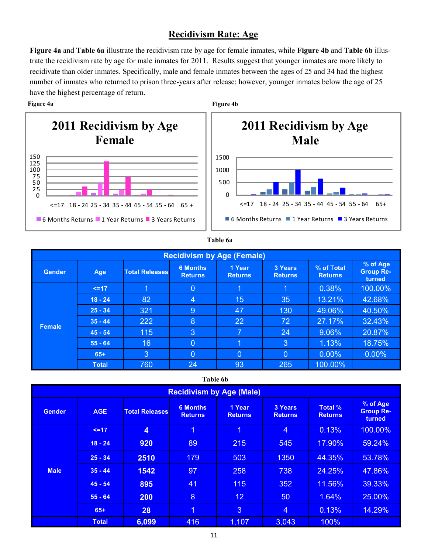# **Recidivism Rate: Age**

**Figure 4a** and **Table 6a** illustrate the recidivism rate by age for female inmates, while **Figure 4b** and **Table 6b** illustrate the recidivism rate by age for male inmates for 2011. Results suggest that younger inmates are more likely to recidivate than older inmates. Specifically, male and female inmates between the ages of 25 and 34 had the highest number of inmates who returned to prison three-years after release; however, younger inmates below the age of 25 have the highest percentage of return.

#### **Figure 4a Figure 4b**





#### **Table 6a**

| <b>Recidivism by Age (Female)</b> |              |                       |                                   |                          |                           |                              |                                        |  |
|-----------------------------------|--------------|-----------------------|-----------------------------------|--------------------------|---------------------------|------------------------------|----------------------------------------|--|
| <b>Gender</b>                     | <b>Age</b>   | <b>Total Releases</b> | <b>6 Months</b><br><b>Returns</b> | 1 Year<br><b>Returns</b> | 3 Years<br><b>Returns</b> | % of Total<br><b>Returns</b> | % of Age<br><b>Group Re-</b><br>turned |  |
|                                   | $\leq$ 17    | 1                     | $\overline{0}$                    | $\overline{1}$           | 1                         | 0.38%                        | 100.00%                                |  |
|                                   | $18 - 24$    | 82                    | $\overline{4}$                    | 15                       | 35                        | 13.21%                       | 42.68%                                 |  |
|                                   | $25 - 34$    | 321                   | 9                                 | 47                       | 130                       | 49.06%                       | 40.50%                                 |  |
| <b>Female</b>                     | $35 - 44$    | 222                   | 8                                 | 22                       | 72                        | 27.17%                       | 32.43%                                 |  |
|                                   | $45 - 54$    | 115                   | 3                                 | $\overline{7}$           | 24                        | 9.06%                        | 20.87%                                 |  |
|                                   | $55 - 64$    | 16                    | $\overline{0}$                    | $\blacksquare$           | 3                         | 1.13%                        | 18.75%                                 |  |
|                                   | $65+$        | 3                     | $\overline{0}$                    | $\overline{0}$           | $\overline{0}$            | $0.00\%$                     | $0.00\%$                               |  |
|                                   | <b>Total</b> | 760                   | 24                                | 93                       | 265                       | 100.00%                      |                                        |  |

#### **Table 6b**

| <b>Recidivism by Age (Male)</b> |              |                       |                                   |                          |                                  |                                  |                                        |  |
|---------------------------------|--------------|-----------------------|-----------------------------------|--------------------------|----------------------------------|----------------------------------|----------------------------------------|--|
| <b>Gender</b>                   | <b>AGE</b>   | <b>Total Releases</b> | <b>6 Months</b><br><b>Returns</b> | 1 Year<br><b>Returns</b> | <b>3 Years</b><br><b>Returns</b> | <b>Total %</b><br><b>Returns</b> | % of Age<br><b>Group Re-</b><br>turned |  |
|                                 | $\leq$ 17    | 4                     | $\overline{1}$                    | $\overline{1}$           | $\overline{4}$                   | 0.13%                            | 100.00%                                |  |
|                                 | $18 - 24$    | 920                   | 89                                | 215                      | 545                              | 17.90%                           | 59.24%                                 |  |
|                                 | $25 - 34$    | 2510                  | 179                               | 503                      | 1350                             | 44.35%                           | 53.78%                                 |  |
| <b>Male</b>                     | $35 - 44$    | 1542                  | 97                                | 258                      | 738                              | 24.25%                           | 47.86%                                 |  |
|                                 | $45 - 54$    | 895                   | 41                                | 115                      | 352                              | 11.56%                           | 39.33%                                 |  |
|                                 | $55 - 64$    | 200                   | 8                                 | 12 <sup>2</sup>          | 50                               | 1.64%                            | 25.00%                                 |  |
|                                 | $65+$        | 28                    | $\overline{1}$                    | 3                        | $\overline{4}$                   | 0.13%                            | 14.29%                                 |  |
|                                 | <b>Total</b> | 6,099                 | 416                               | 1,107                    | 3,043                            | 100%                             |                                        |  |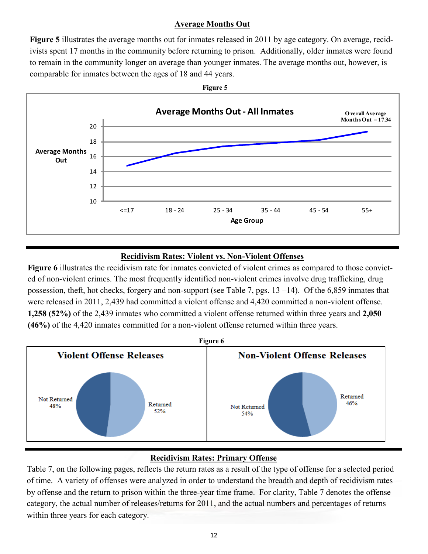## **Average Months Out**

**Figure 5** illustrates the average months out for inmates released in 2011 by age category. On average, recidivists spent 17 months in the community before returning to prison. Additionally, older inmates were found to remain in the community longer on average than younger inmates. The average months out, however, is comparable for inmates between the ages of 18 and 44 years.



## **Recidivism Rates: Violent vs. Non-Violent Offenses**

**Figure 6** illustrates the recidivism rate for inmates convicted of violent crimes as compared to those convicted of non-violent crimes. The most frequently identified non-violent crimes involve drug trafficking, drug possession, theft, hot checks, forgery and non-support (see Table 7, pgs. 13 –14). Of the 6,859 inmates that were released in 2011, 2,439 had committed a violent offense and 4,420 committed a non-violent offense. **1,258 (52%)** of the 2,439 inmates who committed a violent offense returned within three years and **2,050 (46%)** of the 4,420 inmates committed for a non-violent offense returned within three years.



# **Recidivism Rates: Primary Offense**

Table 7, on the following pages, reflects the return rates as a result of the type of offense for a selected period of time. A variety of offenses were analyzed in order to understand the breadth and depth of recidivism rates by offense and the return to prison within the three-year time frame. For clarity, Table 7 denotes the offense category, the actual number of releases/returns for 2011, and the actual numbers and percentages of returns within three years for each category.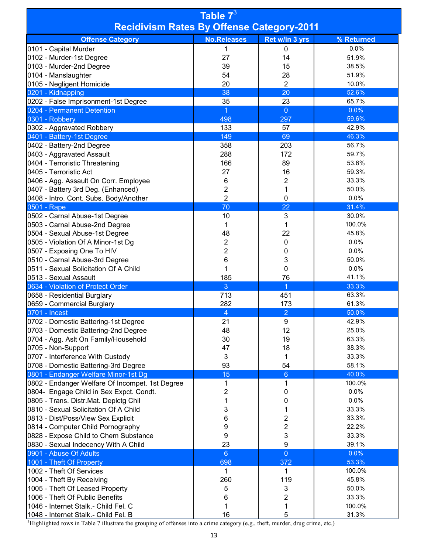| Table 73                                                   |                       |                         |                |  |  |  |
|------------------------------------------------------------|-----------------------|-------------------------|----------------|--|--|--|
| <b>Recidivism Rates By Offense Category-2011</b>           |                       |                         |                |  |  |  |
| <b>Offense Category</b>                                    | <b>No.Releases</b>    | Ret w/in 3 yrs          | % Returned     |  |  |  |
| 0101 - Capital Murder                                      | 1                     | 0                       | 0.0%           |  |  |  |
| 0102 - Murder-1st Degree                                   | 27                    | 14                      | 51.9%          |  |  |  |
| 0103 - Murder-2nd Degree                                   | 39                    | 15                      | 38.5%          |  |  |  |
| 0104 - Manslaughter                                        | 54                    | 28                      | 51.9%          |  |  |  |
| 0105 - Negligent Homicide                                  | 20                    | $\overline{2}$          | 10.0%          |  |  |  |
| 0201 - Kidnapping                                          | 38                    | 20                      | 52.6%          |  |  |  |
| 0202 - False Imprisonment-1st Degree                       | 35                    | 23                      | 65.7%          |  |  |  |
| 0204 - Permanent Detention                                 | $\overline{1}$<br>498 | $\overline{0}$<br>297   | 0.0%<br>59.6%  |  |  |  |
| 0301 - Robbery<br>0302 - Aggravated Robbery                | 133                   | 57                      | 42.9%          |  |  |  |
| 0401 - Battery-1st Degree                                  | 149                   | 69                      | 46.3%          |  |  |  |
| 0402 - Battery-2nd Degree                                  | 358                   | 203                     | 56.7%          |  |  |  |
| 0403 - Aggravated Assault                                  | 288                   | 172                     | 59.7%          |  |  |  |
| 0404 - Terroristic Threatening                             | 166                   | 89                      | 53.6%          |  |  |  |
| 0405 - Terroristic Act                                     | 27                    | 16                      | 59.3%          |  |  |  |
| 0406 - Agg. Assault On Corr. Employee                      | 6                     | 2                       | 33.3%          |  |  |  |
| 0407 - Battery 3rd Deg. (Enhanced)                         | 2                     | 1                       | 50.0%          |  |  |  |
| 0408 - Intro. Cont. Subs. Body/Another                     | $\overline{2}$        | $\mathbf 0$             | 0.0%           |  |  |  |
| 0501 - Rape                                                | 70                    | 22                      | 31.4%          |  |  |  |
| 0502 - Carnal Abuse-1st Degree                             | 10                    | 3                       | 30.0%          |  |  |  |
| 0503 - Carnal Abuse-2nd Degree                             | 1                     | 1                       | 100.0%         |  |  |  |
| 0504 - Sexual Abuse-1st Degree                             | 48                    | 22                      | 45.8%          |  |  |  |
| 0505 - Violation Of A Minor-1st Dg                         | 2                     | 0                       | 0.0%           |  |  |  |
| 0507 - Exposing One To HIV                                 | 2                     | 0                       | 0.0%           |  |  |  |
| 0510 - Carnal Abuse-3rd Degree                             | 6                     | 3                       | 50.0%          |  |  |  |
| 0511 - Sexual Solicitation Of A Child                      | 1                     | 0                       | 0.0%           |  |  |  |
| 0513 - Sexual Assault                                      | 185                   | 76                      | 41.1%          |  |  |  |
| 0634 - Violation of Protect Order                          | 3                     | 1                       | 33.3%          |  |  |  |
| 0658 - Residential Burglary                                | 713                   | 451                     | 63.3%          |  |  |  |
| 0659 - Commercial Burglary                                 | 282                   | 173                     | 61.3%          |  |  |  |
| 0701 - Incest                                              | 4                     | $\overline{2}$          | 50.0%          |  |  |  |
| 0702 - Domestic Battering-1st Degree                       | 21                    | 9                       | 42.9%          |  |  |  |
| 0703 - Domestic Battering-2nd Degree                       | 48<br>30              | 12<br>19                | 25.0%<br>63.3% |  |  |  |
| 0704 - Agg. Aslt On Family/Household<br>0705 - Non-Support | 47                    | 18                      | 38.3%          |  |  |  |
| 0707 - Interference With Custody                           | 3                     | 1                       | 33.3%          |  |  |  |
| 0708 - Domestic Battering-3rd Degree                       | 93                    | 54                      | 58.1%          |  |  |  |
| 0801 - Endanger Welfare Minor-1st Dg                       | 15                    | $6\phantom{1}$          | 40.0%          |  |  |  |
| 0802 - Endanger Welfare Of Incompet. 1st Degree            | 1                     | 1                       | 100.0%         |  |  |  |
| 0804- Engage Child in Sex Expct. Condt.                    | 2                     | 0                       | 0.0%           |  |  |  |
| 0805 - Trans. Distr.Mat. Deplctg Chil                      | 1                     | 0                       | 0.0%           |  |  |  |
| 0810 - Sexual Solicitation Of A Child                      | 3                     | 1                       | 33.3%          |  |  |  |
| 0813 - Dist/Poss/View Sex Explicit                         | 6                     | $\overline{\mathbf{c}}$ | 33.3%          |  |  |  |
| 0814 - Computer Child Pornography                          | 9                     | $\overline{2}$          | 22.2%          |  |  |  |
| 0828 - Expose Child to Chem Substance                      | 9                     | 3                       | 33.3%          |  |  |  |
| 0830 - Sexual Indecency With A Child                       | 23                    | $\boldsymbol{9}$        | 39.1%          |  |  |  |
| 0901 - Abuse Of Adults                                     | $6\phantom{a}$        | $\overline{0}$          | 0.0%           |  |  |  |
| 1001 - Theft Of Property                                   | 698                   | 372                     | 53.3%          |  |  |  |
| 1002 - Theft Of Services                                   | 1                     | 1                       | 100.0%         |  |  |  |
| 1004 - Theft By Receiving                                  | 260                   | 119                     | 45.8%          |  |  |  |
| 1005 - Theft Of Leased Property                            | 5                     | 3                       | 50.0%          |  |  |  |
| 1006 - Theft Of Public Benefits                            | 6                     | $\overline{\mathbf{c}}$ | 33.3%          |  |  |  |
| 1046 - Internet Stalk.- Child Fel. C                       | 1                     | 1                       | 100.0%         |  |  |  |
| 1048 - Internet Stalk.- Child Fel. B                       | 16                    | 5                       | 31.3%          |  |  |  |

Highlighted rows in Table 7 illustrate the grouping of offenses into a crime category (e.g., theft, murder, drug crime, etc.)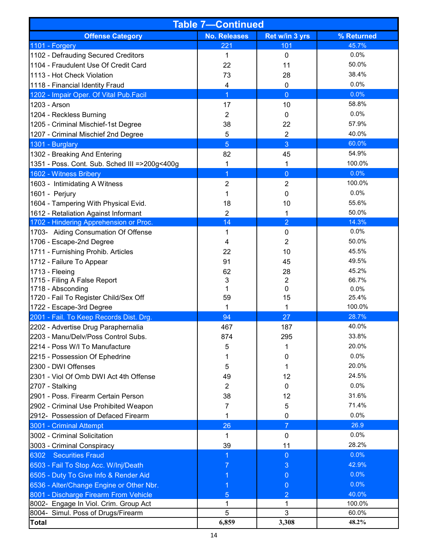| <b>Table 7-Continued</b>                      |                     |                |            |  |  |  |  |
|-----------------------------------------------|---------------------|----------------|------------|--|--|--|--|
| <b>Offense Category</b>                       | <b>No. Releases</b> | Ret w/in 3 yrs | % Returned |  |  |  |  |
| 1101 - Forgery                                | 221                 | 101            | 45.7%      |  |  |  |  |
| 1102 - Defrauding Secured Creditors           | 1                   | 0              | 0.0%       |  |  |  |  |
| 1104 - Fraudulent Use Of Credit Card          | 22                  | 11             | 50.0%      |  |  |  |  |
| 1113 - Hot Check Violation                    | 73                  | 28             | 38.4%      |  |  |  |  |
| 1118 - Financial Identity Fraud               | 4                   | $\pmb{0}$      | 0.0%       |  |  |  |  |
| 1202 - Impair Oper. Of Vital Pub.Facil        | 1                   | $\overline{0}$ | 0.0%       |  |  |  |  |
| 1203 - Arson                                  | 17                  | 10             | 58.8%      |  |  |  |  |
| 1204 - Reckless Burning                       | $\overline{2}$      | 0              | 0.0%       |  |  |  |  |
| 1205 - Criminal Mischief-1st Degree           | 38                  | 22             | 57.9%      |  |  |  |  |
| 1207 - Criminal Mischief 2nd Degree           | 5                   | $\overline{2}$ | 40.0%      |  |  |  |  |
| 1301 - Burglary                               | 5                   | 3              | 60.0%      |  |  |  |  |
| 1302 - Breaking And Entering                  | 82                  | 45             | 54.9%      |  |  |  |  |
| 1351 - Poss. Cont. Sub. Sched III =>200g<400g | 1                   | 1              | 100.0%     |  |  |  |  |
| 1602 - Witness Bribery                        | 1                   | $\overline{0}$ | 0.0%       |  |  |  |  |
| 1603 - Intimidating A Witness                 | 2                   | $\overline{2}$ | 100.0%     |  |  |  |  |
| 1601 - Perjury                                | 1                   | 0              | 0.0%       |  |  |  |  |
| 1604 - Tampering With Physical Evid.          | 18                  | 10             | 55.6%      |  |  |  |  |
| 1612 - Retaliation Against Informant          | $\overline{2}$      | 1              | 50.0%      |  |  |  |  |
| 1702 - Hindering Apprehension or Proc.        | 14                  | $\overline{2}$ | 14.3%      |  |  |  |  |
| 1703- Aiding Consumation Of Offense           | 1                   | $\pmb{0}$      | 0.0%       |  |  |  |  |
| 1706 - Escape-2nd Degree                      | 4                   | 2              | 50.0%      |  |  |  |  |
| 1711 - Furnishing Prohib. Articles            | 22                  | 10             | 45.5%      |  |  |  |  |
| 1712 - Failure To Appear                      | 91                  | 45             | 49.5%      |  |  |  |  |
| 1713 - Fleeing                                | 62                  | 28             | 45.2%      |  |  |  |  |
| 1715 - Filing A False Report                  | 3                   | $\overline{2}$ | 66.7%      |  |  |  |  |
| 1718 - Absconding                             | 1                   | $\pmb{0}$      | 0.0%       |  |  |  |  |
| 1720 - Fail To Register Child/Sex Off         | 59                  | 15             | 25.4%      |  |  |  |  |
| 1722 - Escape-3rd Degree                      |                     | 1              | 100.0%     |  |  |  |  |
| 2001 - Fail. To Keep Records Dist. Drg.       | 94                  | 27             | 28.7%      |  |  |  |  |
| 2202 - Advertise Drug Paraphernalia           | 467                 | 187            | 40.0%      |  |  |  |  |
| 2203 - Manu/Delv/Poss Control Subs.           | 874                 | 295            | 33.8%      |  |  |  |  |
| 2214 - Poss W/I To Manufacture                | 5                   |                | 20.0%      |  |  |  |  |
| 2215 - Possession Of Ephedrine                | 1                   | 0              | 0.0%       |  |  |  |  |
| 2300 - DWI Offenses                           | 5                   |                | 20.0%      |  |  |  |  |
| 2301 - Viol Of Omb DWI Act 4th Offense        | 49                  | 12             | 24.5%      |  |  |  |  |
| 2707 - Stalking                               | $\overline{2}$      | 0              | 0.0%       |  |  |  |  |
| 2901 - Poss. Firearm Certain Person           | 38                  | 12             | 31.6%      |  |  |  |  |
| 2902 - Criminal Use Prohibited Weapon         | 7                   | 5              | 71.4%      |  |  |  |  |
| 2912- Possession of Defaced Firearm           |                     | 0              | 0.0%       |  |  |  |  |
| 3001 - Criminal Attempt                       | 26                  | $\overline{7}$ | 26.9       |  |  |  |  |
| 3002 - Criminal Solicitation                  | 1                   | $\pmb{0}$      | 0.0%       |  |  |  |  |
| 3003 - Criminal Conspiracy                    | 39                  | 11             | 28.2%      |  |  |  |  |
| 6302 Securities Fraud                         |                     | 0              | 0.0%       |  |  |  |  |
| 6503 - Fail To Stop Acc. W/Inj/Death          |                     | 3              | 42.9%      |  |  |  |  |
| 6505 - Duty To Give Info & Render Aid         |                     | 0              | 0.0%       |  |  |  |  |
| 6536 - Alter/Change Engine or Other Nbr.      |                     | 0              | 0.0%       |  |  |  |  |
| 8001 - Discharge Firearm From Vehicle         | 5                   | $\overline{2}$ | 40.0%      |  |  |  |  |
| 8002- Engage In Viol. Crim. Group Act         | 1                   | 1              | 100.0%     |  |  |  |  |
| 8004- Simul. Poss of Drugs/Firearm            | 5                   | 3              | 60.0%      |  |  |  |  |
| <b>Total</b>                                  | 6,859               | 3,308          | 48.2%      |  |  |  |  |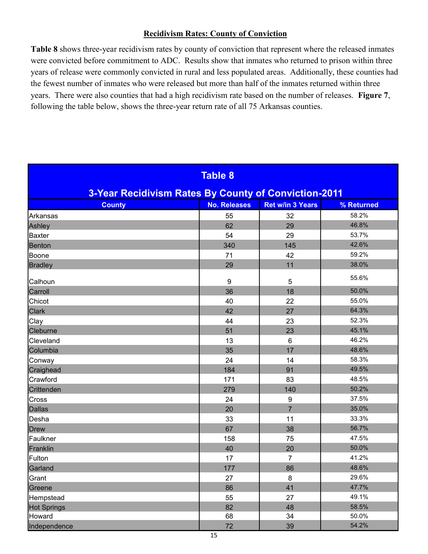## **Recidivism Rates: County of Conviction**

**Table 8** shows three-year recidivism rates by county of conviction that represent where the released inmates were convicted before commitment to ADC. Results show that inmates who returned to prison within three years of release were commonly convicted in rural and less populated areas. Additionally, these counties had the fewest number of inmates who were released but more than half of the inmates returned within three years. There were also counties that had a high recidivism rate based on the number of releases. **Figure 7**, following the table below, shows the three-year return rate of all 75 Arkansas counties.

|                                                      | <b>Table 8</b>      |                         |            |
|------------------------------------------------------|---------------------|-------------------------|------------|
| 3-Year Recidivism Rates By County of Conviction-2011 |                     |                         |            |
| <b>County</b>                                        | <b>No. Releases</b> | <b>Ret w/in 3 Years</b> | % Returned |
| Arkansas                                             | 55                  | 32                      | 58.2%      |
| Ashley                                               | 62                  | 29                      | 46.8%      |
| <b>Baxter</b>                                        | 54                  | 29                      | 53.7%      |
| <b>Benton</b>                                        | 340                 | 145                     | 42.6%      |
| Boone                                                | 71                  | 42                      | 59.2%      |
| <b>Bradley</b>                                       | 29                  | 11                      | 38.0%      |
| Calhoun                                              | $\boldsymbol{9}$    | 5                       | 55.6%      |
| Carroll                                              | 36                  | 18                      | 50.0%      |
| Chicot                                               | 40                  | 22                      | 55.0%      |
| <b>Clark</b>                                         | 42                  | 27                      | 64.3%      |
| Clay                                                 | 44                  | 23                      | 52.3%      |
| Cleburne                                             | 51                  | 23                      | 45.1%      |
| Cleveland                                            | 13                  | $6\phantom{1}$          | 46.2%      |
| Columbia                                             | 35                  | 17                      | 48.6%      |
| Conway                                               | 24                  | 14                      | 58.3%      |
| Craighead                                            | 184                 | 91                      | 49.5%      |
| Crawford                                             | 171                 | 83                      | 48.5%      |
| Crittenden                                           | 279                 | 140                     | 50.2%      |
| Cross                                                | 24                  | $\boldsymbol{9}$        | 37.5%      |
| <b>Dallas</b>                                        | 20                  | $\overline{7}$          | 35.0%      |
| Desha                                                | 33                  | 11                      | 33.3%      |
| <b>Drew</b>                                          | 67                  | 38                      | 56.7%      |
| Faulkner                                             | 158                 | 75                      | 47.5%      |
| Franklin                                             | 40                  | 20                      | 50.0%      |
| Fulton                                               | 17                  | $\overline{7}$          | 41.2%      |
| Garland                                              | 177                 | 86                      | 48.6%      |
| Grant                                                | 27                  | 8                       | 29.6%      |
| Greene                                               | 86                  | 41                      | 47.7%      |
| Hempstead                                            | 55                  | 27                      | 49.1%      |
| <b>Hot Springs</b>                                   | 82                  | 48                      | 58.5%      |
| Howard                                               | 68                  | 34                      | 50.0%      |
| Independence                                         | 72                  | 39                      | 54.2%      |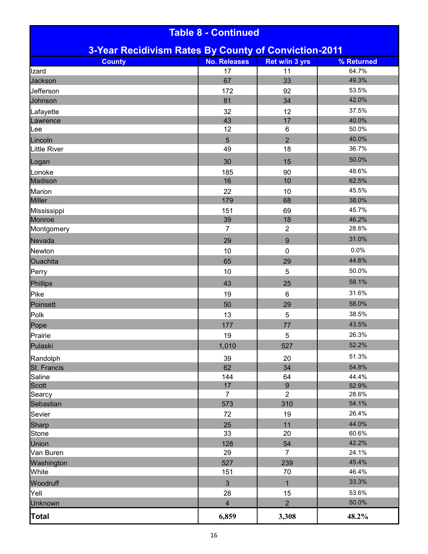| <b>Table 8 - Continued</b>                           |                      |                                    |                |  |  |  |
|------------------------------------------------------|----------------------|------------------------------------|----------------|--|--|--|
| 3-Year Recidivism Rates By County of Conviction-2011 |                      |                                    |                |  |  |  |
| <b>County</b>                                        | <b>No. Releases</b>  | Ret w/in 3 yrs                     | % Returned     |  |  |  |
| Izard                                                | 17                   | 11                                 | 64.7%          |  |  |  |
| Jackson                                              | 67                   | 33                                 | 49.3%          |  |  |  |
| Jefferson                                            | 172                  | 92                                 | 53.5%          |  |  |  |
| Johnson                                              | 81                   | 34                                 | 42.0%          |  |  |  |
| Lafayette                                            | 32                   | 12                                 | 37.5%          |  |  |  |
| Lawrence                                             | 43                   | 17                                 | 40.0%          |  |  |  |
| Lee                                                  | 12                   | 6                                  | 50.0%          |  |  |  |
| Lincoln                                              | 5                    | $\overline{2}$                     | 40.0%          |  |  |  |
| <b>Little River</b>                                  | 49                   | 18                                 | 36.7%          |  |  |  |
| Logan                                                | 30                   | 15                                 | 50.0%          |  |  |  |
| Lonoke                                               | 185                  | 90                                 | 48.6%          |  |  |  |
| Madison                                              | 16                   | 10                                 | 62.5%          |  |  |  |
| Marion                                               | 22                   | 10                                 | 45.5%          |  |  |  |
| <b>Miller</b>                                        | 179                  | 68                                 | 38.0%          |  |  |  |
| Mississippi                                          | 151                  | 69                                 | 45.7%          |  |  |  |
| Monroe                                               | 39                   | 18                                 | 46.2%          |  |  |  |
| Montgomery                                           | $\overline{7}$       | $\overline{2}$                     | 28.6%          |  |  |  |
| Nevada                                               | 29                   | $\boldsymbol{9}$                   | 31.0%          |  |  |  |
| Newton                                               | 10                   | $\mathbf 0$                        | 0.0%           |  |  |  |
| Ouachita                                             | 65                   | 29                                 | 44.6%          |  |  |  |
| Perry                                                | 10                   | 5                                  | 50.0%          |  |  |  |
| Phillips                                             | 43                   | 25                                 | 58.1%          |  |  |  |
| Pike                                                 | 19                   | $6\phantom{1}$                     | 31.6%          |  |  |  |
| Poinsett                                             | 50                   | 29                                 | 58.0%          |  |  |  |
| Polk                                                 | 13                   | 5                                  | 38.5%          |  |  |  |
| Pope                                                 | 177                  | 77                                 | 43.5%          |  |  |  |
| Prairie                                              | 19                   | 5                                  | 26.3%          |  |  |  |
| Pulaski                                              | 1,010                | 527                                | 52.2%          |  |  |  |
|                                                      |                      |                                    | 51.3%          |  |  |  |
| Randolph                                             | 39                   | 20                                 |                |  |  |  |
| St. Francis                                          | 62                   | 34                                 | 54.8%          |  |  |  |
| Saline                                               | 144                  | 64                                 | 44.4%          |  |  |  |
| <b>Scott</b>                                         | 17<br>$\overline{7}$ | $\boldsymbol{9}$<br>$\overline{2}$ | 52.9%<br>28.6% |  |  |  |
| Searcy<br>Sebastian                                  | 573                  | 310                                | 54.1%          |  |  |  |
|                                                      | 72                   | 19                                 | 26.4%          |  |  |  |
| Sevier                                               |                      |                                    | 44.0%          |  |  |  |
| Sharp                                                | 25<br>33             | 11                                 | 60.6%          |  |  |  |
| <b>Stone</b>                                         |                      | 20                                 | 42.2%          |  |  |  |
| Union                                                | 128                  | 54                                 |                |  |  |  |
| Van Buren                                            | 29                   | $\overline{7}$                     | 24.1%<br>45.4% |  |  |  |
| Washington                                           | 527                  | 239                                | 46.4%          |  |  |  |
| White                                                | 151                  | 70                                 |                |  |  |  |
| Woodruff                                             | 3                    | 1                                  | 33.3%          |  |  |  |
| Yell                                                 | 28                   | 15                                 | 53.6%          |  |  |  |
| <b>Unknown</b>                                       | 4                    | $\overline{2}$                     | 50.0%          |  |  |  |
| <b>Total</b>                                         | 6,859                | 3,308                              | 48.2%          |  |  |  |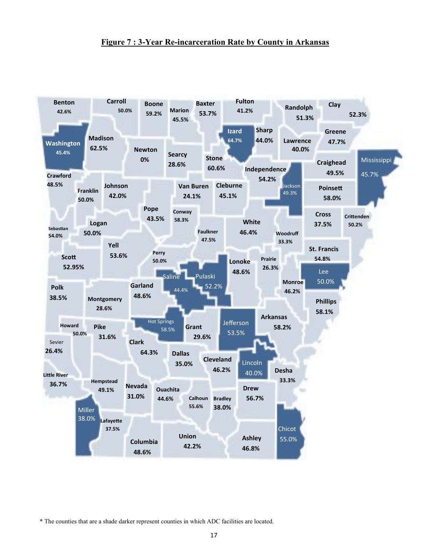## **Figure 7 : 3-Year Re-incarceration Rate by County in Arkansas**



\* The counties that are a shade darker represent counties in which ADC facilities are located.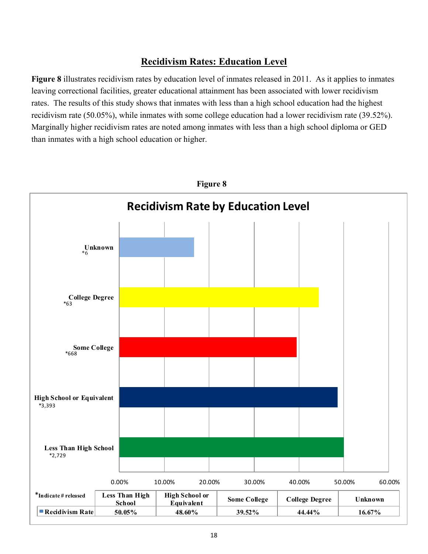# **Recidivism Rates: Education Level**

**Figure 8** illustrates recidivism rates by education level of inmates released in 2011. As it applies to inmates leaving correctional facilities, greater educational attainment has been associated with lower recidivism rates. The results of this study shows that inmates with less than a high school education had the highest recidivism rate (50.05%), while inmates with some college education had a lower recidivism rate (39.52%). Marginally higher recidivism rates are noted among inmates with less than a high school diploma or GED than inmates with a high school education or higher.